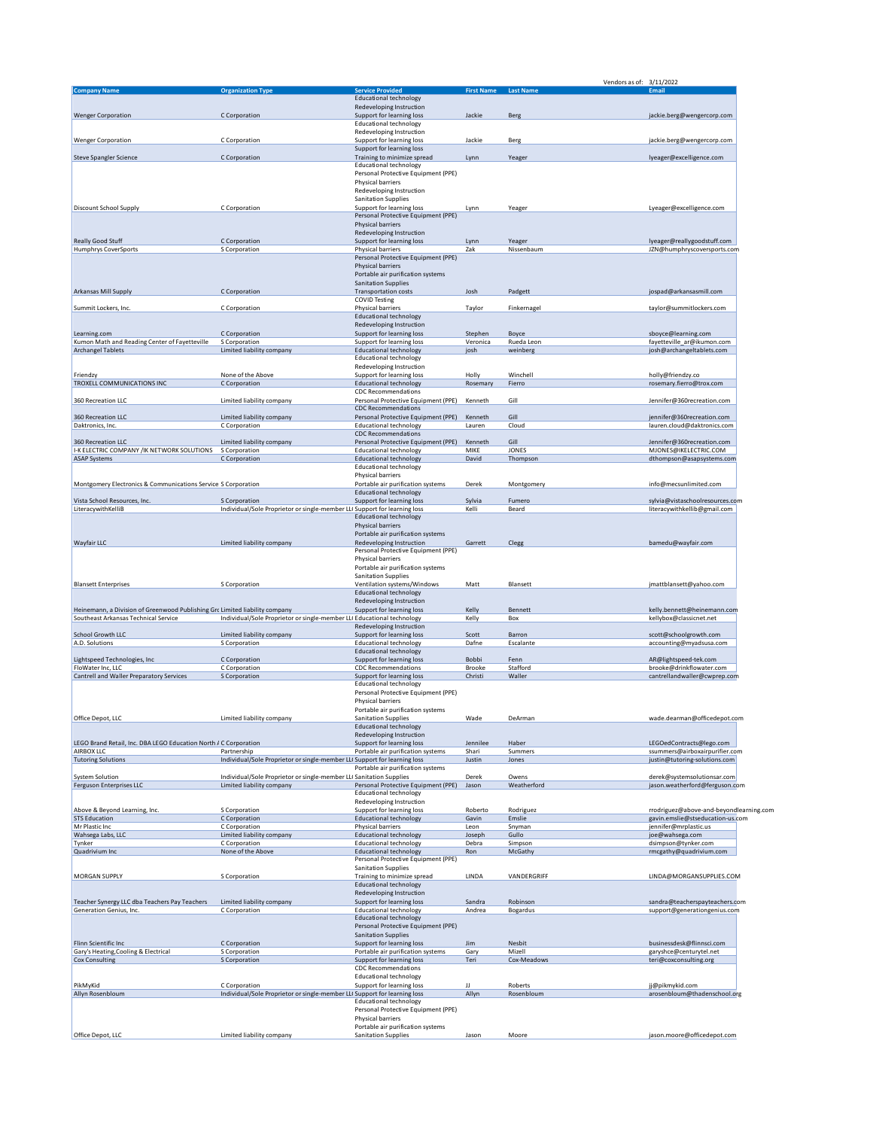|                                                                             |                                                                           |                                                                      |                      |                     | 3/11/2022<br>Vendors as of:                                                 |
|-----------------------------------------------------------------------------|---------------------------------------------------------------------------|----------------------------------------------------------------------|----------------------|---------------------|-----------------------------------------------------------------------------|
| <b>Company Name</b>                                                         | <b>Organization Type</b>                                                  | <b>Service Provided</b>                                              | First Name Last Name |                     | Email                                                                       |
|                                                                             |                                                                           | <b>Educational technology</b><br>Redeveloping Instruction            |                      |                     |                                                                             |
| <b>Wenger Corporation</b>                                                   | C Corporation                                                             | Support for learning loss                                            | Jackie               | Berg                | jackie.berg@wengercorp.com                                                  |
|                                                                             |                                                                           | <b>Educational technology</b>                                        |                      |                     |                                                                             |
|                                                                             |                                                                           | Redeveloping Instruction                                             |                      |                     |                                                                             |
| <b>Wenger Corporation</b>                                                   | C Corporation                                                             | Support for learning loss<br>Support for learning loss               | Jackie               | Berg                | jackie.berg@wengercorp.com                                                  |
| <b>Steve Spangler Science</b>                                               | C Corporation                                                             | Training to minimize spread                                          | Lynn                 | Yeager              | lyeager@excelligence.com                                                    |
|                                                                             |                                                                           | <b>Educational technology</b>                                        |                      |                     |                                                                             |
|                                                                             |                                                                           | Personal Protective Equipment (PPE)<br>Physical barriers             |                      |                     |                                                                             |
|                                                                             |                                                                           | Redeveloping Instruction                                             |                      |                     |                                                                             |
|                                                                             |                                                                           | <b>Sanitation Supplies</b>                                           |                      |                     |                                                                             |
| <b>Discount School Supply</b>                                               | C Corporation                                                             | Support for learning loss                                            | Lynn                 | Yeager              | Lyeager@excelligence.com                                                    |
|                                                                             |                                                                           | Personal Protective Equipment (PPE)                                  |                      |                     |                                                                             |
|                                                                             |                                                                           | Physical barriers<br>Redeveloping Instruction                        |                      |                     |                                                                             |
| <b>Really Good Stuff</b>                                                    | C Corporation                                                             | Support for learning loss                                            | Lynn                 | Yeager              | lyeager@reallygoodstuff.com                                                 |
| <b>Humphrys CoverSports</b>                                                 | S Corporation                                                             | Physical barriers                                                    | Zak                  | Nissenbaum          | JZN@humphryscoversports.com                                                 |
|                                                                             |                                                                           | Personal Protective Equipment (PPE)                                  |                      |                     |                                                                             |
|                                                                             |                                                                           | Physical barriers<br>Portable air purification systems               |                      |                     |                                                                             |
|                                                                             |                                                                           | <b>Sanitation Supplies</b>                                           |                      |                     |                                                                             |
| Arkansas Mill Supply                                                        | C Corporation                                                             | <b>Transportation costs</b>                                          | Josh                 | Padgett             | jospad@arkansasmill.com                                                     |
|                                                                             |                                                                           | <b>COVID Testing</b>                                                 |                      |                     |                                                                             |
| Summit Lockers, Inc.                                                        | C Corporation                                                             | Physical barriers<br><b>Educational technology</b>                   | Taylor               | Finkernagel         | taylor@summitlockers.com                                                    |
|                                                                             |                                                                           | Redeveloping Instruction                                             |                      |                     |                                                                             |
| Learning.com                                                                | C Corporation                                                             | Support for learning loss                                            | Stephen              | Boyce               | sboyce@learning.com                                                         |
| Kumon Math and Reading Center of Fayetteville                               | S Corporation                                                             | Support for learning loss                                            | Veronica             | Rueda Leon          | fayetteville_ar@ikumon.com                                                  |
| <b>Archangel Tablets</b>                                                    | Limited liability company                                                 | <b>Educational technology</b>                                        | josh                 | weinberg            | josh@archangeltablets.com                                                   |
|                                                                             |                                                                           | <b>Educational technology</b>                                        |                      |                     |                                                                             |
| Friendzy                                                                    | None of the Above                                                         | Redeveloping Instruction<br>Support for learning loss                | Holly                | Winchell            | holly@friendzy.co                                                           |
| TROXELL COMMUNICATIONS INC                                                  | C Corporation                                                             | <b>Educational technology</b>                                        | Rosemary             | Fierro              | rosemary.fierro@trox.com                                                    |
|                                                                             |                                                                           | <b>CDC Recommendations</b>                                           |                      |                     |                                                                             |
| 360 Recreation LLC                                                          | Limited liability company                                                 | Personal Protective Equipment (PPE)                                  | Kenneth              | Gill                | Jennifer@360recreation.com                                                  |
|                                                                             |                                                                           | <b>CDC Recommendations</b>                                           |                      |                     |                                                                             |
| 360 Recreation LLC<br>Daktronics, Inc.                                      | Limited liability company<br>C Corporation                                | Personal Protective Equipment (PPE)<br><b>Educational technology</b> | Kenneth<br>Lauren    | Gill<br>Cloud       | jennifer@360recreation.com<br>lauren.cloud@daktronics.com                   |
|                                                                             |                                                                           | <b>CDC Recommendations</b>                                           |                      |                     |                                                                             |
| 360 Recreation LLC                                                          | Limited liability company                                                 | Personal Protective Equipment (PPE)                                  | Kenneth              | Gill                | Jennifer@360recreation.com                                                  |
| I-K ELECTRIC COMPANY / IK NETWORK SOLUTIONS                                 | S Corporation                                                             | <b>Educational technology</b>                                        | MIKE                 | JONES               | MJONES@IKELECTRIC.COM                                                       |
| <b>ASAP Systems</b>                                                         | C Corporation                                                             | <b>Educational technology</b>                                        | David                | Thompson            | dthompson@asapsystems.com                                                   |
|                                                                             |                                                                           | <b>Educational technology</b>                                        |                      |                     |                                                                             |
| Montgomery Electronics & Communications Service S Corporation               |                                                                           | Physical barriers<br>Portable air purification systems               | Derek                | Montgomery          | info@mecsunlimited.com                                                      |
|                                                                             |                                                                           | <b>Educational technology</b>                                        |                      |                     |                                                                             |
| Vista School Resources, Inc.                                                | S Corporation                                                             | Support for learning loss                                            | Sylvia               | Fumero              | sylvia@vistaschoolresources.com                                             |
| LiteracywithKelliB                                                          | Individual/Sole Proprietor or single-member LLI Support for learning loss |                                                                      | Kelli                | Beard               | literacywithkellib@gmail.com                                                |
|                                                                             |                                                                           | <b>Educational technology</b>                                        |                      |                     |                                                                             |
|                                                                             |                                                                           | Physical barriers                                                    |                      |                     |                                                                             |
| <b>Wayfair LLC</b>                                                          | Limited liability company                                                 | Portable air purification systems<br>Redeveloping Instruction        | Garrett              | Clegg               | bamedu@wayfair.com                                                          |
|                                                                             |                                                                           | Personal Protective Equipment (PPE)                                  |                      |                     |                                                                             |
|                                                                             |                                                                           | Physical barriers                                                    |                      |                     |                                                                             |
|                                                                             |                                                                           | Portable air purification systems                                    |                      |                     |                                                                             |
|                                                                             |                                                                           | <b>Sanitation Supplies</b>                                           |                      |                     |                                                                             |
| <b>Blansett Enterprises</b>                                                 | S Corporation                                                             | Ventilation systems/Windows                                          | Matt                 | Blansett            | jmattblansett@yahoo.com                                                     |
|                                                                             |                                                                           | <b>Educational technology</b><br>Redeveloping Instruction            |                      |                     |                                                                             |
| Heinemann, a Division of Greenwood Publishing Grc Limited liability company |                                                                           | Support for learning loss                                            | Kelly                | <b>Bennett</b>      | kelly.bennett@heinemann.com                                                 |
| Southeast Arkansas Technical Service                                        | Individual/Sole Proprietor or single-member LLI Educational technology    |                                                                      | Kelly                | Box                 | kellybox@classicnet.net                                                     |
|                                                                             |                                                                           | Redeveloping Instruction                                             |                      |                     |                                                                             |
| <b>School Growth LLC</b>                                                    | Limited liability company                                                 | Support for learning loss                                            | Scott                | Barron              | scott@schoolgrowth.com                                                      |
| A.D. Solutions                                                              | S Corporation                                                             | <b>Educational technology</b>                                        | Dafne                | Escalante           | accounting@myadsusa.com                                                     |
| Lightspeed Technologies, Inc                                                | C Corporation                                                             | Educational technology<br>Support for learning loss                  | <b>Bobbi</b>         | Fenn                | AR@lightspeed-tek.com                                                       |
| FloWater Inc, LLC                                                           | C Corporation                                                             | <b>CDC Recommendations</b>                                           | <b>Brooke</b>        | Stafford            | brooke@drinkflowater.com                                                    |
| Cantrell and Waller Preparatory Services                                    | S Corporation                                                             | Support for learning loss                                            | Christi              | Waller              | cantrellandwaller@cwprep.com                                                |
|                                                                             |                                                                           | <b>Educational technology</b>                                        |                      |                     |                                                                             |
|                                                                             |                                                                           | Personal Protective Equipment (PPE)                                  |                      |                     |                                                                             |
|                                                                             |                                                                           | Physical barriers                                                    |                      |                     |                                                                             |
| Office Depot, LLC                                                           | Limited liability company                                                 | Portable air purification systems<br>Sanitation Supplies             | Wade                 | DeArman             | wade.dearman@officedepot.com                                                |
|                                                                             |                                                                           | <b>Educational technology</b>                                        |                      |                     |                                                                             |
|                                                                             |                                                                           | Redeveloping Instruction                                             |                      |                     |                                                                             |
| LEGO Brand Retail, Inc. DBA LEGO Education North / C Corporation            |                                                                           | Support for learning loss                                            | Jennilee             | Haber               | LEGOedContracts@lego.com                                                    |
| <b>AIRBOX LLC</b>                                                           | Partnership                                                               | Portable air purification systems                                    | Shari                | Summers             | ssummers@airboxairpurifier.com                                              |
| <b>Tutoring Solutions</b>                                                   | Individual/Sole Proprietor or single-member LLI Support for learning loss | Portable air purification systems                                    | Justin               | Jones               | justin@tutoring-solutions.com                                               |
| <b>System Solution</b>                                                      | Individual/Sole Proprietor or single-member LLI Sanitation Supplies       |                                                                      | Derek                | Owens               | derek@systemsolutionsar.com                                                 |
| Ferguson Enterprises LLC                                                    | Limited liability company                                                 | Personal Protective Equipment (PPE)                                  | Jason                | Weatherford         | jason.weatherford@ferguson.com                                              |
|                                                                             |                                                                           | <b>Educational technology</b>                                        |                      |                     |                                                                             |
|                                                                             |                                                                           | Redeveloping Instruction                                             |                      |                     |                                                                             |
| Above & Beyond Learning, Inc.<br><b>STS Education</b>                       | S Corporation<br>C Corporation                                            | Support for learning loss<br><b>Educational technology</b>           | Roberto<br>Gavin     | Rodriguez<br>Emslie | rrodriguez@above-and-beyondlearning.com<br>gavin.emslie@stseducation-us.com |
| Mr Plastic Inc                                                              | C Corporation                                                             | Physical barriers                                                    | Leon                 | Snyman              | jennifer@mrplastic.us                                                       |
| Wahsega Labs, LLC                                                           | Limited liability company                                                 | <b>Educational technology</b>                                        | Joseph               | Gullo               | joe@wahsega.com                                                             |
| <b>Tynker</b>                                                               | C Corporation                                                             | <b>Educational technology</b>                                        | Debra                | Simpson             | dsimpson@tynker.com                                                         |
| Quadrivium Inc                                                              | None of the Above                                                         | <b>Educational technology</b>                                        | Ron                  | McGathy             | rmcgathy@quadrivium.com                                                     |
|                                                                             |                                                                           | Personal Protective Equipment (PPE)<br><b>Sanitation Supplies</b>    |                      |                     |                                                                             |
| MORGAN SUPPLY                                                               | S Corporation                                                             | Training to minimize spread                                          | LINDA                | VANDERGRIFF         | LINDA@MORGANSUPPLIES.COM                                                    |
|                                                                             |                                                                           | <b>Educational technology</b>                                        |                      |                     |                                                                             |
|                                                                             |                                                                           | Redeveloping Instruction                                             |                      |                     |                                                                             |
| Teacher Synergy LLC dba Teachers Pay Teachers                               | Limited liability company                                                 | Support for learning loss                                            | Sandra               | Robinson            | sandra@teacherspayteachers.com                                              |
| Generation Genius, Inc.                                                     | C Corporation                                                             | <b>Educational technology</b>                                        | Andrea               | Bogardus            | support@generationgenius.com                                                |
|                                                                             |                                                                           | <b>Educational technology</b><br>Personal Protective Equipment (PPE) |                      |                     |                                                                             |
|                                                                             |                                                                           | <b>Sanitation Supplies</b>                                           |                      |                     |                                                                             |
| Flinn Scientific Inc.                                                       | C Corporation                                                             | Support for learning loss                                            | Jim                  | Nesbit              | businessdesk@flinnsci.com                                                   |
| Gary's Heating, Cooling & Electrical                                        | S Corporation                                                             | Portable air purification systems                                    | Gary                 | Mizell              | garyshce@centurytel.net                                                     |
| <b>Cox Consulting</b>                                                       | S Corporation                                                             | Support for learning loss                                            | Teri                 | Cox-Meadows         | teri@coxconsulting.org                                                      |
|                                                                             |                                                                           | CDC Recommendations                                                  |                      |                     |                                                                             |
|                                                                             |                                                                           | <b>Educational technology</b>                                        |                      |                     |                                                                             |
| PikMyKid                                                                    | C Corporation                                                             | Support for learning loss                                            | IJ                   | Roberts             | jj@pikmykid.com                                                             |
| Allyn Rosenbloum                                                            | Individual/Sole Proprietor or single-member LLI Support for learning loss | <b>Educational technology</b>                                        | Allyn                | Rosenbloum          | arosenbloum@thadenschool.org                                                |
|                                                                             |                                                                           | Personal Protective Equipment (PPE)                                  |                      |                     |                                                                             |
|                                                                             |                                                                           | Physical barriers                                                    |                      |                     |                                                                             |
|                                                                             |                                                                           | Portable air purification systems                                    |                      |                     |                                                                             |
| Office Depot, LLC                                                           | Limited liability company                                                 | <b>Sanitation Supplies</b>                                           | Jason                | Moore               | jason.moore@officedepot.com                                                 |
|                                                                             |                                                                           |                                                                      |                      |                     |                                                                             |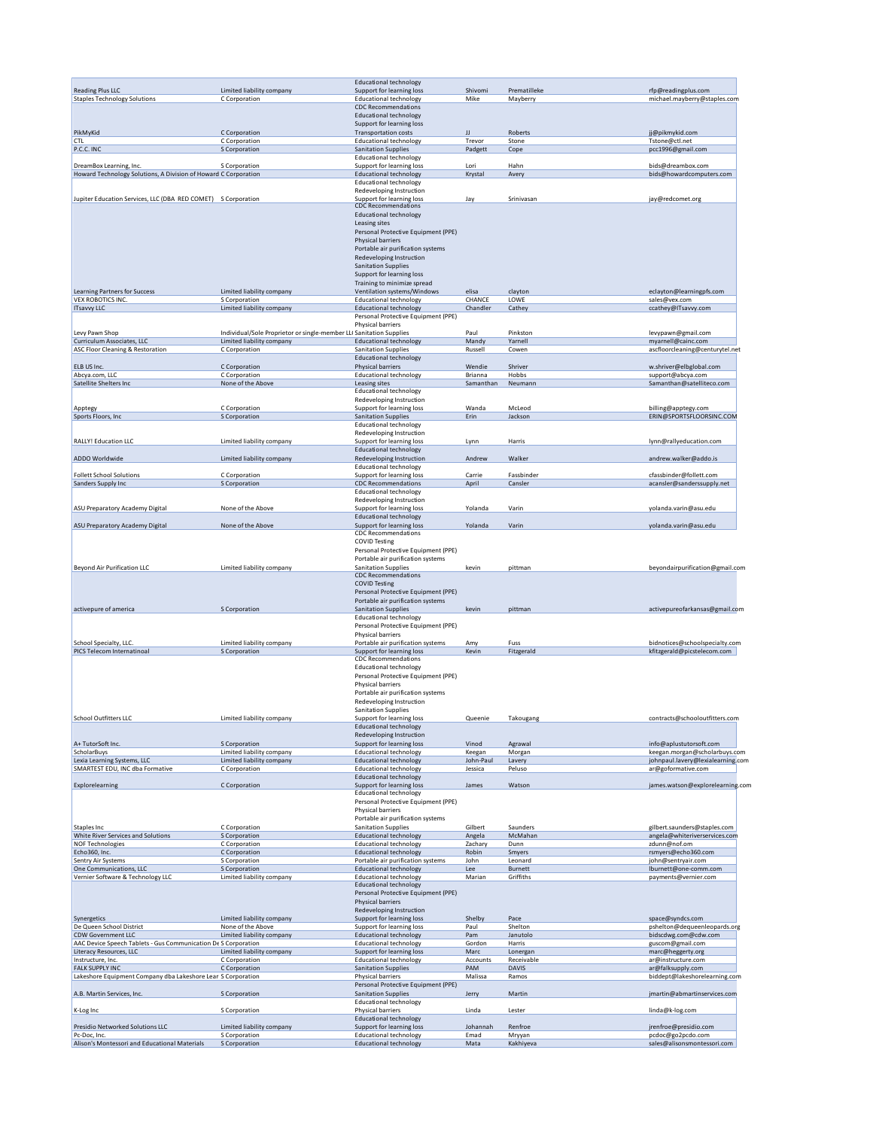|                                                                                                                                                                                                                                                                                                                                                                                                                                                                                           |                                                                     | <b>Educational technology</b>                                  |              |                     |                                                    |
|-------------------------------------------------------------------------------------------------------------------------------------------------------------------------------------------------------------------------------------------------------------------------------------------------------------------------------------------------------------------------------------------------------------------------------------------------------------------------------------------|---------------------------------------------------------------------|----------------------------------------------------------------|--------------|---------------------|----------------------------------------------------|
| <b>Reading Plus LLC</b>                                                                                                                                                                                                                                                                                                                                                                                                                                                                   | Limited liability company                                           | Support for learning loss                                      | Shivomi      | Prematilleke        | rfp@readingplus.com                                |
| <b>Staples Technology Solutions</b>                                                                                                                                                                                                                                                                                                                                                                                                                                                       | C Corporation                                                       | <b>Educational technology</b>                                  | Mike         | Mayberry            | michael.mayberry@staples.com                       |
|                                                                                                                                                                                                                                                                                                                                                                                                                                                                                           |                                                                     | CDC Recommendations                                            |              |                     |                                                    |
|                                                                                                                                                                                                                                                                                                                                                                                                                                                                                           |                                                                     | <b>Educational technology</b>                                  |              |                     |                                                    |
|                                                                                                                                                                                                                                                                                                                                                                                                                                                                                           |                                                                     | Support for learning loss                                      |              |                     |                                                    |
| PikMyKid                                                                                                                                                                                                                                                                                                                                                                                                                                                                                  | C Corporation                                                       | <b>Transportation costs</b>                                    | IJ           | Roberts             | jj@pikmykid.com                                    |
| <b>CTL</b>                                                                                                                                                                                                                                                                                                                                                                                                                                                                                | C Corporation                                                       | <b>Educational technology</b>                                  | Trevor       | Stone               | Tstone@ctl.net                                     |
| P.C.C. INC                                                                                                                                                                                                                                                                                                                                                                                                                                                                                | S Corporation                                                       | <b>Sanitation Supplies</b>                                     | Padgett      | Cope                | pcc1996@gmail.com                                  |
|                                                                                                                                                                                                                                                                                                                                                                                                                                                                                           |                                                                     | <b>Educational technology</b>                                  |              |                     |                                                    |
| DreamBox Learning, Inc.                                                                                                                                                                                                                                                                                                                                                                                                                                                                   | S Corporation                                                       | Support for learning loss                                      | Lori         | Hahn                | bids@dreambox.com                                  |
| Howard Technology Solutions, A Division of Howard C Corporation                                                                                                                                                                                                                                                                                                                                                                                                                           |                                                                     | <b>Educational technology</b>                                  | Krystal      | Avery               | bids@howardcomputers.com                           |
|                                                                                                                                                                                                                                                                                                                                                                                                                                                                                           |                                                                     | <b>Educational technology</b>                                  |              |                     |                                                    |
|                                                                                                                                                                                                                                                                                                                                                                                                                                                                                           |                                                                     | Redeveloping Instruction                                       |              |                     |                                                    |
| Jupiter Education Services, LLC (DBA RED COMET) S Corporation                                                                                                                                                                                                                                                                                                                                                                                                                             |                                                                     | Support for learning loss                                      | Jay          | Srinivasan          | jay@redcomet.org                                   |
|                                                                                                                                                                                                                                                                                                                                                                                                                                                                                           |                                                                     | <b>CDC Recommendations</b>                                     |              |                     |                                                    |
|                                                                                                                                                                                                                                                                                                                                                                                                                                                                                           |                                                                     | <b>Educational technology</b>                                  |              |                     |                                                    |
|                                                                                                                                                                                                                                                                                                                                                                                                                                                                                           |                                                                     | Leasing sites                                                  |              |                     |                                                    |
|                                                                                                                                                                                                                                                                                                                                                                                                                                                                                           |                                                                     | Personal Protective Equipment (PPE)                            |              |                     |                                                    |
|                                                                                                                                                                                                                                                                                                                                                                                                                                                                                           |                                                                     | Physical barriers                                              |              |                     |                                                    |
|                                                                                                                                                                                                                                                                                                                                                                                                                                                                                           |                                                                     |                                                                |              |                     |                                                    |
|                                                                                                                                                                                                                                                                                                                                                                                                                                                                                           |                                                                     | Portable air purification systems                              |              |                     |                                                    |
|                                                                                                                                                                                                                                                                                                                                                                                                                                                                                           |                                                                     | Redeveloping Instruction                                       |              |                     |                                                    |
|                                                                                                                                                                                                                                                                                                                                                                                                                                                                                           |                                                                     | <b>Sanitation Supplies</b>                                     |              |                     |                                                    |
|                                                                                                                                                                                                                                                                                                                                                                                                                                                                                           |                                                                     | Support for learning loss                                      |              |                     |                                                    |
|                                                                                                                                                                                                                                                                                                                                                                                                                                                                                           |                                                                     | Training to minimize spread                                    |              |                     |                                                    |
| <b>Learning Partners for Success</b>                                                                                                                                                                                                                                                                                                                                                                                                                                                      | Limited liability company                                           | Ventilation systems/Windows                                    | elisa        | clayton             | eclayton@learningpfs.com                           |
| VEX ROBOTICS INC.                                                                                                                                                                                                                                                                                                                                                                                                                                                                         | S Corporation                                                       | <b>Educational technology</b>                                  | CHANCE       | LOWE                | sales@vex.com                                      |
| <b>ITsavvy LLC</b>                                                                                                                                                                                                                                                                                                                                                                                                                                                                        | Limited liability company                                           | <b>Educational technology</b>                                  | Chandler     | Cathey              | ccathey@ITsavvy.com                                |
|                                                                                                                                                                                                                                                                                                                                                                                                                                                                                           |                                                                     | Personal Protective Equipment (PPE)                            |              |                     |                                                    |
|                                                                                                                                                                                                                                                                                                                                                                                                                                                                                           |                                                                     | Physical barriers                                              |              |                     |                                                    |
| Levy Pawn Shop                                                                                                                                                                                                                                                                                                                                                                                                                                                                            | Individual/Sole Proprietor or single-member LLI Sanitation Supplies |                                                                | Paul         | Pinkston            | levypawn@gmail.com                                 |
| Curriculum Associates, LLC                                                                                                                                                                                                                                                                                                                                                                                                                                                                | Limited liability company                                           | <b>Educational technology</b>                                  | Mandy        | Yarnell             | myarnell@cainc.com                                 |
| <b>ASC Floor Cleaning &amp; Restoration</b>                                                                                                                                                                                                                                                                                                                                                                                                                                               | C Corporation                                                       | <b>Sanitation Supplies</b>                                     | Russell      | Cowen               | ascfloorcleaning@centurytel.net                    |
|                                                                                                                                                                                                                                                                                                                                                                                                                                                                                           |                                                                     | <b>Educational technology</b>                                  |              |                     |                                                    |
| ELB US Inc.                                                                                                                                                                                                                                                                                                                                                                                                                                                                               | C Corporation                                                       | Physical barriers                                              | Wendie       | Shriver             | w.shriver@elbglobal.com                            |
| Abcya.com, LLC                                                                                                                                                                                                                                                                                                                                                                                                                                                                            | C Corporation                                                       | <b>Educational technology</b>                                  | Brianna      | Hobbs               | support@abcya.com                                  |
| Satellite Shelters Inc                                                                                                                                                                                                                                                                                                                                                                                                                                                                    | None of the Above                                                   | Leasing sites                                                  | Samanthan    | Neumann             | Samanthan@satelliteco.com                          |
|                                                                                                                                                                                                                                                                                                                                                                                                                                                                                           |                                                                     | <b>Educational technology</b>                                  |              |                     |                                                    |
|                                                                                                                                                                                                                                                                                                                                                                                                                                                                                           |                                                                     | Redeveloping Instruction                                       |              |                     |                                                    |
| Apptegy                                                                                                                                                                                                                                                                                                                                                                                                                                                                                   | C Corporation                                                       | Support for learning loss                                      | Wanda        | McLeod              | billing@apptegy.com                                |
| Sports Floors, Inc.                                                                                                                                                                                                                                                                                                                                                                                                                                                                       | S Corporation                                                       | <b>Sanitation Supplies</b>                                     | Erin         | Jackson             | ERIN@SPORTSFLOORSINC.COM                           |
|                                                                                                                                                                                                                                                                                                                                                                                                                                                                                           |                                                                     | <b>Educational technology</b>                                  |              |                     |                                                    |
|                                                                                                                                                                                                                                                                                                                                                                                                                                                                                           |                                                                     | Redeveloping Instruction                                       |              |                     |                                                    |
| <b>RALLY! Education LLC</b>                                                                                                                                                                                                                                                                                                                                                                                                                                                               | Limited liability company                                           | Support for learning loss                                      | Lynn         | Harris              | lynn@rallyeducation.com                            |
|                                                                                                                                                                                                                                                                                                                                                                                                                                                                                           |                                                                     | <b>Educational technology</b>                                  |              |                     |                                                    |
| ADDO Worldwide                                                                                                                                                                                                                                                                                                                                                                                                                                                                            | Limited liability company                                           | Redeveloping Instruction                                       | Andrew       | Walker              | andrew.walker@addo.is                              |
|                                                                                                                                                                                                                                                                                                                                                                                                                                                                                           |                                                                     | <b>Educational technology</b>                                  |              |                     |                                                    |
| <b>Follett School Solutions</b>                                                                                                                                                                                                                                                                                                                                                                                                                                                           | C Corporation                                                       | Support for learning loss                                      | Carrie       | Fassbinder          | cfassbinder@follett.com                            |
| Sanders Supply Inc                                                                                                                                                                                                                                                                                                                                                                                                                                                                        | S Corporation                                                       | <b>CDC Recommendations</b>                                     | April        | Cansler             | acansler@sanderssupply.net                         |
|                                                                                                                                                                                                                                                                                                                                                                                                                                                                                           |                                                                     | <b>Educational technology</b>                                  |              |                     |                                                    |
|                                                                                                                                                                                                                                                                                                                                                                                                                                                                                           |                                                                     | Redeveloping Instruction                                       |              |                     |                                                    |
| ASU Preparatory Academy Digital                                                                                                                                                                                                                                                                                                                                                                                                                                                           | None of the Above                                                   | Support for learning loss                                      | Yolanda      | Varin               | yolanda.varin@asu.edu                              |
|                                                                                                                                                                                                                                                                                                                                                                                                                                                                                           |                                                                     | <b>Educational technology</b>                                  |              |                     |                                                    |
| ASU Preparatory Academy Digital                                                                                                                                                                                                                                                                                                                                                                                                                                                           | None of the Above                                                   | Support for learning loss                                      | Yolanda      | Varin               | yolanda.varin@asu.edu                              |
|                                                                                                                                                                                                                                                                                                                                                                                                                                                                                           |                                                                     | <b>CDC Recommendations</b>                                     |              |                     |                                                    |
|                                                                                                                                                                                                                                                                                                                                                                                                                                                                                           |                                                                     | <b>COVID Testing</b>                                           |              |                     |                                                    |
|                                                                                                                                                                                                                                                                                                                                                                                                                                                                                           |                                                                     | Personal Protective Equipment (PPE)                            |              |                     |                                                    |
|                                                                                                                                                                                                                                                                                                                                                                                                                                                                                           |                                                                     | Portable air purification systems                              |              |                     |                                                    |
| <b>Beyond Air Purification LLC</b>                                                                                                                                                                                                                                                                                                                                                                                                                                                        | Limited liability company                                           | <b>Sanitation Supplies</b>                                     | kevin        | pittman             | beyondairpurification@gmail.com                    |
|                                                                                                                                                                                                                                                                                                                                                                                                                                                                                           |                                                                     | CDC Recommendations                                            |              |                     |                                                    |
|                                                                                                                                                                                                                                                                                                                                                                                                                                                                                           |                                                                     | <b>COVID Testing</b>                                           |              |                     |                                                    |
|                                                                                                                                                                                                                                                                                                                                                                                                                                                                                           |                                                                     | Personal Protective Equipment (PPE)                            |              |                     |                                                    |
|                                                                                                                                                                                                                                                                                                                                                                                                                                                                                           |                                                                     | Portable air purification systems                              |              |                     |                                                    |
| activepure of america                                                                                                                                                                                                                                                                                                                                                                                                                                                                     | S Corporation                                                       | <b>Sanitation Supplies</b>                                     | kevin        | pittman             | activepureofarkansas@gmail.com                     |
|                                                                                                                                                                                                                                                                                                                                                                                                                                                                                           |                                                                     | <b>Educational technology</b>                                  |              |                     |                                                    |
|                                                                                                                                                                                                                                                                                                                                                                                                                                                                                           |                                                                     | Personal Protective Equipment (PPE)                            |              |                     |                                                    |
|                                                                                                                                                                                                                                                                                                                                                                                                                                                                                           |                                                                     | Physical barriers                                              |              |                     |                                                    |
| School Specialty, LLC.                                                                                                                                                                                                                                                                                                                                                                                                                                                                    | Limited liability company                                           | Portable air purification systems                              |              | Fuss                | bidnotices@schoolspecialty.com                     |
| PICS Telecom Internatinoal                                                                                                                                                                                                                                                                                                                                                                                                                                                                | S Corporation                                                       | Support for learning loss                                      | Amy<br>Kevin | Fitzgerald          | kfitzgerald@picstelecom.com                        |
|                                                                                                                                                                                                                                                                                                                                                                                                                                                                                           |                                                                     | <b>CDC Recommendations</b>                                     |              |                     |                                                    |
|                                                                                                                                                                                                                                                                                                                                                                                                                                                                                           |                                                                     | <b>Educational technology</b>                                  |              |                     |                                                    |
|                                                                                                                                                                                                                                                                                                                                                                                                                                                                                           |                                                                     | Personal Protective Equipment (PPE)                            |              |                     |                                                    |
|                                                                                                                                                                                                                                                                                                                                                                                                                                                                                           |                                                                     |                                                                |              |                     |                                                    |
|                                                                                                                                                                                                                                                                                                                                                                                                                                                                                           |                                                                     | Physical barriers                                              |              |                     |                                                    |
|                                                                                                                                                                                                                                                                                                                                                                                                                                                                                           |                                                                     | Portable air purification systems                              |              |                     |                                                    |
|                                                                                                                                                                                                                                                                                                                                                                                                                                                                                           |                                                                     | Redeveloping Instruction                                       |              |                     |                                                    |
|                                                                                                                                                                                                                                                                                                                                                                                                                                                                                           |                                                                     | <b>Sanitation Supplies</b>                                     |              |                     |                                                    |
| <b>School Outfitters LLC</b>                                                                                                                                                                                                                                                                                                                                                                                                                                                              | Limited liability company                                           | Support for learning loss                                      | Queenie      | Takougang           | contracts@schooloutfitters.com                     |
|                                                                                                                                                                                                                                                                                                                                                                                                                                                                                           |                                                                     | Educational technology                                         |              |                     |                                                    |
|                                                                                                                                                                                                                                                                                                                                                                                                                                                                                           |                                                                     | Redeveloping Instruction                                       |              |                     |                                                    |
| A+ TutorSoft Inc.                                                                                                                                                                                                                                                                                                                                                                                                                                                                         | S Corporation                                                       | Support for learning loss                                      | Vinod        | Agrawal             | info@aplustutorsoft.com                            |
| ScholarBuys                                                                                                                                                                                                                                                                                                                                                                                                                                                                               | Limited liability company                                           | <b>Educational technology</b>                                  | Keegan       | Morgan              | keegan.morgan@scholarbuys.com                      |
| Lexia Learning Systems, LLC                                                                                                                                                                                                                                                                                                                                                                                                                                                               | Limited liability company                                           | <b>Educational technology</b>                                  | John-Paul    | Lavery              | johnpaul.lavery@lexialearning.com                  |
| SMARTEST EDU, INC dba Formative                                                                                                                                                                                                                                                                                                                                                                                                                                                           | C Corporation                                                       | <b>Educational technology</b>                                  | Jessica      | Peluso              | ar@goformative.com                                 |
|                                                                                                                                                                                                                                                                                                                                                                                                                                                                                           |                                                                     | <b>Educational technology</b>                                  |              |                     |                                                    |
| Explorelearning                                                                                                                                                                                                                                                                                                                                                                                                                                                                           | C Corporation                                                       | Support for learning loss                                      | James        | Watson              | james.watson@explorelearning.com                   |
|                                                                                                                                                                                                                                                                                                                                                                                                                                                                                           |                                                                     | <b>Educational technology</b>                                  |              |                     |                                                    |
|                                                                                                                                                                                                                                                                                                                                                                                                                                                                                           |                                                                     | Personal Protective Equipment (PPE)                            |              |                     |                                                    |
|                                                                                                                                                                                                                                                                                                                                                                                                                                                                                           |                                                                     | Physical barriers                                              |              |                     |                                                    |
|                                                                                                                                                                                                                                                                                                                                                                                                                                                                                           |                                                                     | Portable air purification systems                              |              |                     |                                                    |
| Staples Inc                                                                                                                                                                                                                                                                                                                                                                                                                                                                               | C Corporation                                                       | <b>Sanitation Supplies</b>                                     | Gilbert      | Saunders            | gilbert.saunders@staples.com                       |
| White River Services and Solutions                                                                                                                                                                                                                                                                                                                                                                                                                                                        | S Corporation                                                       | <b>Educational technology</b>                                  | Angela       | McMahan             | angela@whiteriverservices.com                      |
| <b>NOF Technologies</b>                                                                                                                                                                                                                                                                                                                                                                                                                                                                   | C Corporation                                                       | <b>Educational technology</b>                                  | Zachary      | Dunn                | zdunn@nof.om                                       |
| Echo360, Inc.                                                                                                                                                                                                                                                                                                                                                                                                                                                                             |                                                                     | <b>Educational technology</b>                                  | Robin        | Smyers              | rsmyers@echo360.com                                |
| Sentry Air Systems                                                                                                                                                                                                                                                                                                                                                                                                                                                                        | C Corporation                                                       |                                                                |              |                     |                                                    |
|                                                                                                                                                                                                                                                                                                                                                                                                                                                                                           | S Corporation                                                       | Portable air purification systems                              | John         | Leonard             | john@sentryair.com                                 |
|                                                                                                                                                                                                                                                                                                                                                                                                                                                                                           | S Corporation                                                       | <b>Educational technology</b>                                  | Lee          | Burnett             | lburnett@one-comm.com                              |
|                                                                                                                                                                                                                                                                                                                                                                                                                                                                                           | Limited liability company                                           | <b>Educational technology</b>                                  | Marian       | Griffiths           | payments@vernier.com                               |
|                                                                                                                                                                                                                                                                                                                                                                                                                                                                                           |                                                                     | Educational technology                                         |              |                     |                                                    |
|                                                                                                                                                                                                                                                                                                                                                                                                                                                                                           |                                                                     | Personal Protective Equipment (PPE)                            |              |                     |                                                    |
|                                                                                                                                                                                                                                                                                                                                                                                                                                                                                           |                                                                     | Physical barriers                                              |              |                     |                                                    |
|                                                                                                                                                                                                                                                                                                                                                                                                                                                                                           |                                                                     |                                                                |              |                     |                                                    |
|                                                                                                                                                                                                                                                                                                                                                                                                                                                                                           |                                                                     | Redeveloping Instruction                                       |              |                     |                                                    |
|                                                                                                                                                                                                                                                                                                                                                                                                                                                                                           | Limited liability company                                           | Support for learning loss                                      | Shelby       | Pace                | space@syndcs.com                                   |
|                                                                                                                                                                                                                                                                                                                                                                                                                                                                                           | None of the Above                                                   | Support for learning loss                                      | Paul         | Shelton             |                                                    |
|                                                                                                                                                                                                                                                                                                                                                                                                                                                                                           | Limited liability company                                           | <b>Educational technology</b>                                  | Pam          | Janutolo            | bidscdwg.com@cdw.com                               |
|                                                                                                                                                                                                                                                                                                                                                                                                                                                                                           |                                                                     | <b>Educational technology</b>                                  | Gordon       | Harris              | guscom@gmail.com                                   |
|                                                                                                                                                                                                                                                                                                                                                                                                                                                                                           | Limited liability company                                           | Support for learning loss                                      | Marc         | Lonergan            | marc@heggerty.org                                  |
|                                                                                                                                                                                                                                                                                                                                                                                                                                                                                           | C Corporation                                                       | <b>Educational technology</b>                                  | Accounts     | Receivable          | pshelton@dequeenleopards.org<br>ar@instructure.com |
|                                                                                                                                                                                                                                                                                                                                                                                                                                                                                           | C Corporation                                                       | <b>Sanitation Supplies</b>                                     | PAM          | <b>DAVIS</b>        | ar@falksupply.com                                  |
|                                                                                                                                                                                                                                                                                                                                                                                                                                                                                           |                                                                     | Physical barriers                                              | Malissa      | Ramos               | biddept@lakeshorelearning.com                      |
|                                                                                                                                                                                                                                                                                                                                                                                                                                                                                           |                                                                     | Personal Protective Equipment (PPE)                            |              |                     |                                                    |
|                                                                                                                                                                                                                                                                                                                                                                                                                                                                                           | S Corporation                                                       | <b>Sanitation Supplies</b>                                     | Jerry        | Martin              | jmartin@abmartinservices.com                       |
|                                                                                                                                                                                                                                                                                                                                                                                                                                                                                           |                                                                     | <b>Educational technology</b>                                  |              |                     |                                                    |
|                                                                                                                                                                                                                                                                                                                                                                                                                                                                                           | S Corporation                                                       | Physical barriers                                              | Linda        | Lester              | linda@k-log.com                                    |
|                                                                                                                                                                                                                                                                                                                                                                                                                                                                                           |                                                                     | <b>Educational technology</b>                                  |              |                     |                                                    |
|                                                                                                                                                                                                                                                                                                                                                                                                                                                                                           | Limited liability company                                           | Support for learning loss                                      | Johannah     | Renfroe             | jrenfroe@presidio.com                              |
| One Communications, LLC<br>Vernier Software & Technology LLC<br>Synergetics<br>De Queen School District<br><b>CDW Government LLC</b><br>AAC Device Speech Tablets - Gus Communication De S Corporation<br>Literacy Resources, LLC<br>Instructure, Inc.<br>FALK SUPPLY INC<br>Lakeshore Equipment Company dba Lakeshore Lean S Corporation<br>A.B. Martin Services, Inc.<br>K-Log Inc<br>Presidio Networked Solutions LLC<br>Pc-Doc, Inc.<br>Alison's Montessori and Educational Materials | S Corporation<br>S Corporation                                      | <b>Educational technology</b><br><b>Educational technology</b> | Emad<br>Mata | Mryyan<br>Kakhiyeva | pcdoc@go2pcdo.com<br>sales@alisonsmontessori.com   |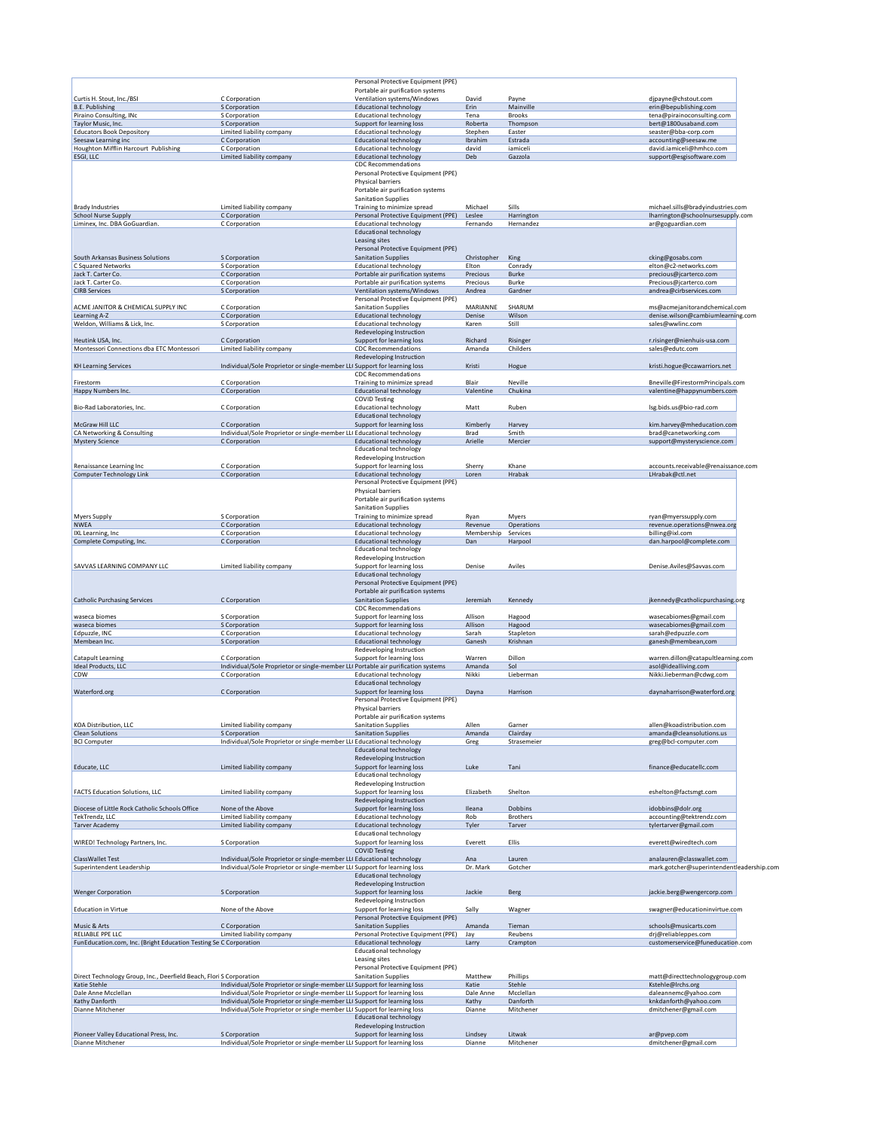|                                                                                       |                                                                                   | Personal Protective Equipment (PPE)<br>Portable air purification systems                                                    |                      |                            |                                                          |
|---------------------------------------------------------------------------------------|-----------------------------------------------------------------------------------|-----------------------------------------------------------------------------------------------------------------------------|----------------------|----------------------------|----------------------------------------------------------|
| Curtis H. Stout, Inc./BSI                                                             | C Corporation                                                                     | Ventilation systems/Windows                                                                                                 | David                | Payne                      | djpayne@chstout.com                                      |
| <b>B.E. Publishing</b>                                                                | S Corporation                                                                     | <b>Educational technology</b>                                                                                               | Erin                 | Mainville                  | erin@bepublishing.com                                    |
| Piraino Consulting, INc<br>Taylor Music, Inc.                                         | S Corporation                                                                     | <b>Educational technology</b>                                                                                               | Tena                 | <b>Brooks</b>              | tena@pirainoconsulting.com                               |
| <b>Educators Book Depository</b>                                                      | S Corporation<br>Limited liability company                                        | Support for learning loss<br><b>Educational technology</b>                                                                  | Roberta<br>Stephen   | Thompson<br>Easter         | bert@1800usaband.com<br>seaster@bba-corp.com             |
| Seesaw Learning inc                                                                   | C Corporation                                                                     | <b>Educational technology</b>                                                                                               | Ibrahim              | Estrada                    | accounting@seesaw.me                                     |
| Houghton Mifflin Harcourt Publishing                                                  | C Corporation                                                                     | <b>Educational technology</b>                                                                                               | david                | iamiceli                   | david.iamiceli@hmhco.com                                 |
| ESGI, LLC                                                                             | Limited liability company                                                         | <b>Educational technology</b><br><b>CDC Recommendations</b>                                                                 | Deb                  | Gazzola                    | support@esgisoftware.com                                 |
|                                                                                       |                                                                                   | Personal Protective Equipment (PPE)<br>Physical barriers<br>Portable air purification systems<br><b>Sanitation Supplies</b> |                      |                            |                                                          |
| <b>Brady Industries</b>                                                               | Limited liability company                                                         | Training to minimize spread                                                                                                 | Michael              | Sills                      | michael.sills@bradyindustries.com                        |
| <b>School Nurse Supply</b>                                                            | C Corporation                                                                     | Personal Protective Equipment (PPE)                                                                                         | Leslee               | Harrington                 | lharrington@schoolnursesupply.com                        |
| Liminex, Inc. DBA GoGuardian.                                                         | C Corporation                                                                     | <b>Educational technology</b><br><b>Educational technology</b><br>Leasing sites<br>Personal Protective Equipment (PPE)      | Fernando             | Hernandez                  | ar@goguardian.com                                        |
| South Arkansas Business Solutions                                                     | S Corporation                                                                     | <b>Sanitation Supplies</b>                                                                                                  | Christopher          | King                       | cking@gosabs.com                                         |
| C Squared Networks                                                                    | S Corporation                                                                     | <b>Educational technology</b>                                                                                               | Elton                | Conrady                    | elton@c2-networks.com                                    |
| Jack T. Carter Co.<br>Jack T. Carter Co.                                              | C Corporation<br>C Corporation                                                    | Portable air purification systems<br>Portable air purification systems                                                      | Precious<br>Precious | <b>Burke</b><br>Burke      | precious@jcarterco.com<br>Precious@jcarterco.com         |
| <b>CIRB Services</b>                                                                  | S Corporation                                                                     | Ventilation systems/Windows                                                                                                 | Andrea               | Gardner                    | andrea@cirbservices.com                                  |
|                                                                                       |                                                                                   | Personal Protective Equipment (PPE)                                                                                         |                      |                            |                                                          |
| ACME JANITOR & CHEMICAL SUPPLY INC                                                    | C Corporation                                                                     | <b>Sanitation Supplies</b>                                                                                                  | MARIANNE             | SHARUM                     | ms@acmejanitorandchemical.com                            |
| Learning A-Z<br>Weldon, Williams & Lick, Inc.                                         | C Corporation<br>S Corporation                                                    | <b>Educational technology</b><br><b>Educational technology</b>                                                              | Denise<br>Karen      | Wilson<br>Still            | denise.wilson@cambiumlearning.com<br>sales@wwlinc.com    |
|                                                                                       |                                                                                   | Redeveloping Instruction                                                                                                    |                      |                            |                                                          |
| Heutink USA, Inc.                                                                     | C Corporation                                                                     | Support for learning loss                                                                                                   | Richard              | Risinger                   | r.risinger@nienhuis-usa.com                              |
| Montessori Connections dba ETC Montessori                                             | Limited liability company                                                         | <b>CDC Recommendations</b>                                                                                                  | Amanda               | Childers                   | sales@edutc.com                                          |
| <b>KH Learning Services</b>                                                           | Individual/Sole Proprietor or single-member LLI Support for learning loss         | Redeveloping Instruction                                                                                                    | Kristi               | Hogue                      | kristi.hogue@ccawarriors.net                             |
|                                                                                       |                                                                                   | <b>CDC Recommendations</b>                                                                                                  |                      |                            |                                                          |
| Firestorm                                                                             | C Corporation                                                                     | Training to minimize spread                                                                                                 | Blair                | Neville                    | Bneville@FirestormPrincipals.com                         |
| Happy Numbers Inc.                                                                    | C Corporation                                                                     | <b>Educational technology</b>                                                                                               | Valentine            | Chukina                    | valentine@happynumbers.com                               |
| Bio-Rad Laboratories, Inc.                                                            | C Corporation                                                                     | <b>COVID Testing</b><br><b>Educational technology</b>                                                                       | Matt                 | Ruben                      | Isg.bids.us@bio-rad.com                                  |
|                                                                                       |                                                                                   | <b>Educational technology</b>                                                                                               |                      |                            |                                                          |
| <b>McGraw Hill LLC</b>                                                                | C Corporation                                                                     | Support for learning loss                                                                                                   | Kimberly             | Harvey                     | kim.harvey@mheducation.com                               |
| CA Networking & Consulting                                                            | Individual/Sole Proprietor or single-member LLI Educational technology            |                                                                                                                             | Brad                 | Smith                      | brad@canetworking.com                                    |
| <b>Mystery Science</b>                                                                | C Corporation                                                                     | <b>Educational technology</b><br><b>Educational technology</b>                                                              | Arielle              | Mercier                    | support@mysteryscience.com                               |
|                                                                                       |                                                                                   | Redeveloping Instruction                                                                                                    |                      |                            |                                                          |
| Renaissance Learning Inc                                                              | C Corporation                                                                     | Support for learning loss                                                                                                   | Sherry               | Khane                      | accounts.receivable@renaissance.com                      |
| <b>Computer Technology Link</b>                                                       | C Corporation                                                                     | <b>Educational technology</b>                                                                                               | Loren                | Hrabak                     | LHrabak@ctl.net                                          |
|                                                                                       |                                                                                   | Personal Protective Equipment (PPE)<br>Physical barriers<br>Portable air purification systems<br><b>Sanitation Supplies</b> |                      |                            |                                                          |
| <b>Myers Supply</b>                                                                   | S Corporation                                                                     | Training to minimize spread                                                                                                 | Ryan                 | Myers                      | ryan@myerssupply.com                                     |
| <b>NWEA</b>                                                                           | C Corporation                                                                     | <b>Educational technology</b>                                                                                               | Revenue              | Operations                 | revenue.operations@nwea.org                              |
| IXL Learning, Inc                                                                     | C Corporation                                                                     | <b>Educational technology</b>                                                                                               | Membership           | Services                   | billing@ixl.com                                          |
| Complete Computing, Inc.                                                              | C Corporation                                                                     | <b>Educational technology</b><br><b>Educational technology</b>                                                              | Dan                  | Harpool                    | dan.harpool@complete.com                                 |
|                                                                                       |                                                                                   | Redeveloping Instruction                                                                                                    |                      |                            |                                                          |
| SAVVAS LEARNING COMPANY LLC                                                           | Limited liability company                                                         | Support for learning loss<br>Educational technology<br>Personal Protective Equipment (PPE)                                  | Denise               | Aviles                     | Denise.Aviles@Savvas.com                                 |
| <b>Catholic Purchasing Services</b>                                                   | C Corporation                                                                     | Portable air purification systems<br><b>Sanitation Supplies</b><br><b>CDC Recommendations</b>                               | Jeremiah             | Kennedy                    | jkennedy@catholicpurchasing.org                          |
| waseca biomes                                                                         | S Corporation                                                                     | Support for learning loss                                                                                                   | Allison              | Hagood                     | wasecabiomes@gmail.com                                   |
| waseca biomes                                                                         | <b>S</b> Corporation                                                              | Support for learning loss                                                                                                   | Allison              | Hagood                     | wasecabiomes@gmail.com                                   |
| Edpuzzle, INC<br>Membean Inc.                                                         | C Corporation<br>S Corporation                                                    | <b>Educational technology</b>                                                                                               | Sarah                | Stapleton                  | sarah@edpuzzle.com                                       |
|                                                                                       |                                                                                   | <b>Educational technology</b><br>Redeveloping Instruction                                                                   | Ganesh               | Krishnan                   | ganesh@membean,com                                       |
| <b>Catapult Learning</b>                                                              | C Corporation                                                                     | Support for learning loss                                                                                                   | Warren               | Dillon                     | warren.dillon@catapultlearning.com                       |
| <b>Ideal Products, LLC</b>                                                            | Individual/Sole Proprietor or single-member LLI Portable air purification systems |                                                                                                                             | Amanda               | Sol                        | asol@idealliving.com                                     |
| CDW                                                                                   | C Corporation                                                                     | <b>Educational technology</b>                                                                                               | Nikki                | Lieberman                  | Nikki.lieberman@cdwg.com                                 |
| Waterford.org                                                                         | C Corporation                                                                     | <b>Educational technology</b><br>Support for learning loss<br>Personal Protective Equipment (PPE)<br>Physical barriers      | Dayna                | Harrison                   | daynaharrison@waterford.org                              |
| KOA Distribution, LLC                                                                 | Limited liability company                                                         | Portable air purification systems<br><b>Sanitation Supplies</b>                                                             | Allen                | Garner                     | allen@koadistribution.com                                |
| <b>Clean Solutions</b>                                                                | S Corporation                                                                     | <b>Sanitation Supplies</b>                                                                                                  | Amanda               | Clairday                   | amanda@cleansolutions.us                                 |
| <b>BCI Computer</b>                                                                   | Individual/Sole Proprietor or single-member LLI Educational technology            |                                                                                                                             | Greg                 | Strasemeier                | greg@bcl-computer.com                                    |
|                                                                                       |                                                                                   | <b>Educational technology</b><br>Redeveloping Instruction                                                                   |                      |                            |                                                          |
| Educate, LLC                                                                          | Limited liability company                                                         | Support for learning loss                                                                                                   | Luke                 | Tani                       | finance@educatellc.com                                   |
|                                                                                       |                                                                                   | <b>Educational technology</b>                                                                                               |                      |                            |                                                          |
|                                                                                       |                                                                                   | Redeveloping Instruction                                                                                                    |                      |                            |                                                          |
| <b>FACTS Education Solutions, LLC</b>                                                 | Limited liability company                                                         | Support for learning loss                                                                                                   | Elizabeth            | Shelton                    | eshelton@factsmgt.com                                    |
|                                                                                       |                                                                                   | Redeveloping Instruction                                                                                                    |                      |                            |                                                          |
| Diocese of Little Rock Catholic Schools Office<br>TekTrendz, LLC                      | None of the Above<br>Limited liability company                                    | Support for learning loss<br><b>Educational technology</b>                                                                  | Ileana<br>Rob        | Dobbins<br><b>Brothers</b> | idobbins@dolr.org<br>accounting@tektrendz.com            |
| <b>Tarver Academy</b>                                                                 | Limited liability company                                                         | <b>Educational technology</b>                                                                                               | Tyler                | Tarver                     | tylertarver@gmail.com                                    |
|                                                                                       |                                                                                   | <b>Educational technology</b>                                                                                               |                      |                            |                                                          |
| WIRED! Technology Partners, Inc.                                                      | S Corporation                                                                     | Support for learning loss<br><b>COVID Testing</b>                                                                           | Everett              | Ellis                      | everett@wiredtech.com                                    |
| <b>ClassWallet Test</b>                                                               | Individual/Sole Proprietor or single-member LLI Educational technology            |                                                                                                                             | Ana                  | Lauren                     | analauren@classwallet.com                                |
| Superintendent Leadership                                                             | Individual/Sole Proprietor or single-member LLI Support for learning loss         |                                                                                                                             | Dr. Mark             | Gotcher                    | mark.gotcher@superintendentleadership.com                |
|                                                                                       |                                                                                   | <b>Educational technology</b><br>Redeveloping Instruction                                                                   |                      |                            |                                                          |
| <b>Wenger Corporation</b>                                                             | S Corporation                                                                     | Support for learning loss                                                                                                   | Jackie               | Berg                       | jackie.berg@wengercorp.com                               |
|                                                                                       |                                                                                   | Redeveloping Instruction                                                                                                    |                      |                            |                                                          |
| <b>Education in Virtue</b>                                                            | None of the Above                                                                 | Support for learning loss                                                                                                   | Sally                | Wagner                     | swagner@educationinvirtue.com                            |
|                                                                                       |                                                                                   | Personal Protective Equipment (PPE)                                                                                         |                      |                            |                                                          |
| Music & Arts                                                                          | C Corporation                                                                     | <b>Sanitation Supplies</b>                                                                                                  | Amanda               | Tieman                     | schools@musicarts.com                                    |
| RELIABLE PPE LLC<br>FunEducation.com, Inc. (Bright Education Testing Se C Corporation | Limited liability company                                                         | Personal Protective Equipment (PPE)<br><b>Educational technology</b>                                                        | Jay                  | Reubens                    | drj@reliableppes.com<br>customerservice@funeducation.com |
|                                                                                       |                                                                                   | <b>Educational technology</b><br>Leasing sites<br>Personal Protective Equipment (PPE)                                       | Larry                | Crampton                   |                                                          |
| Direct Technology Group, Inc., Deerfield Beach, Flori S Corporation                   |                                                                                   | <b>Sanitation Supplies</b>                                                                                                  | Matthew              | Phillips                   | matt@directtechnologygroup.com                           |
| Katie Stehle                                                                          | Individual/Sole Proprietor or single-member LLI Support for learning loss         |                                                                                                                             | Katie                | Stehle                     | Kstehle@Irchs.org                                        |
| Dale Anne Mcclellan                                                                   | Individual/Sole Proprietor or single-member LLI Support for learning loss         |                                                                                                                             | Dale Anne            | Mcclellan                  | daleannemc@yahoo.com                                     |
| Kathy Danforth                                                                        | Individual/Sole Proprietor or single-member LLI Support for learning loss         |                                                                                                                             | Kathy                | Danforth                   | knkdanforth@yahoo.com                                    |
| Dianne Mitchener                                                                      | Individual/Sole Proprietor or single-member LLI Support for learning loss         | <b>Educational technology</b>                                                                                               | Dianne               | Mitchener                  | dmitchener@gmail.com                                     |
|                                                                                       |                                                                                   | Redeveloping Instruction                                                                                                    |                      |                            |                                                          |
| Pioneer Valley Educational Press, Inc.                                                | S Corporation                                                                     | Support for learning loss                                                                                                   | Lindsey              | Litwak                     | ar@pvep.com                                              |
| Dianne Mitchener                                                                      | Individual/Sole Proprietor or single-member LLI Support for learning loss         |                                                                                                                             | Dianne               | Mitchener                  | dmitchener@gmail.com                                     |